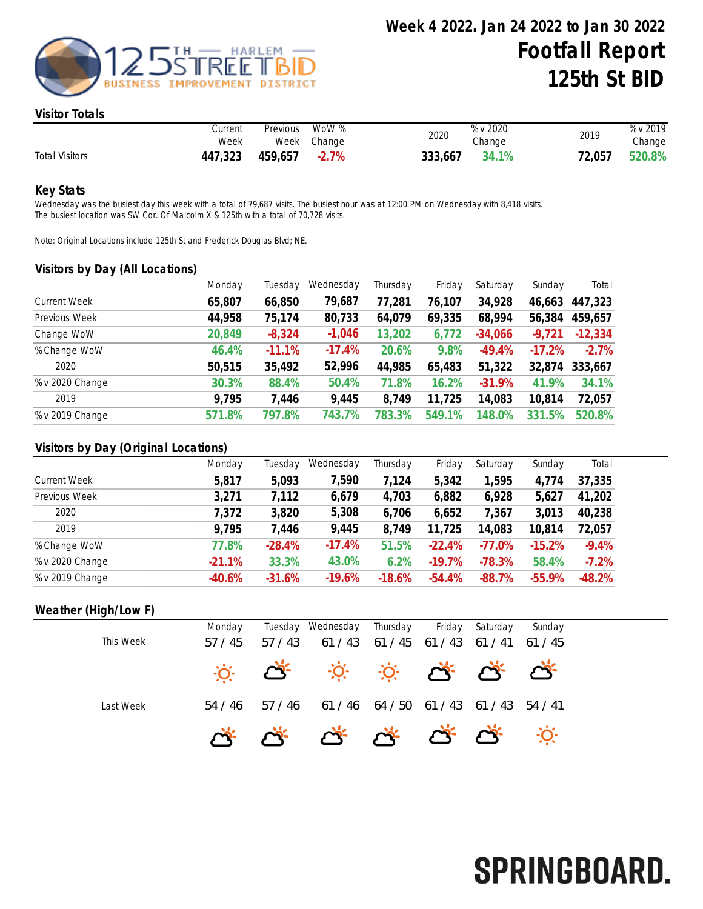

#### Visitor Totals

|                       | Current<br>Week | Previous      | WoW %<br>Week Change | 2020    | % v 2020<br>Change | 2019   | % v 2019<br>Change |
|-----------------------|-----------------|---------------|----------------------|---------|--------------------|--------|--------------------|
| <b>Total Visitors</b> | 447,323         | 459,657 -2.7% |                      | 333,667 | 34.1%              | 72,057 | 520.8%             |

#### Key Stats

Wednesday was the busiest day this week with a total of 79,687 visits. The busiest hour was at 12:00 PM on Wednesday with 8,418 visits. The busiest location was SW Cor. Of Malcolm X & 125th with a total of 70,728 visits.

Note: Original Locations include 125th St and Frederick Douglas Blvd; NE.

#### Visitors by Day (All Locations)

|                     | Monday | Tuesday  | Wednesday | Thursday | Friday | Saturday  | Sunday   | Total     |
|---------------------|--------|----------|-----------|----------|--------|-----------|----------|-----------|
| <b>Current Week</b> | 65,807 | 66,850   | 79,687    | 77,281   | 76,107 | 34,928    | 46,663   | 447,323   |
| Previous Week       | 44,958 | 75,174   | 80,733    | 64,079   | 69,335 | 68,994    | 56,384   | 459,657   |
| Change WoW          | 20,849 | $-8,324$ | $-1,046$  | 13,202   | 6,772  | $-34,066$ | $-9,721$ | $-12,334$ |
| % Change WoW        | 46.4%  | $-11.1%$ | $-17.4%$  | 20.6%    | 9.8%   | $-49.4%$  | $-17.2%$ | $-2.7%$   |
| 2020                | 50,515 | 35,492   | 52,996    | 44,985   | 65,483 | 51,322    | 32,874   | 333,667   |
| % v 2020 Change     | 30.3%  | 88.4%    | 50.4%     | 71.8%    | 16.2%  | $-31.9%$  | 41.9%    | 34.1%     |
| 2019                | 9,795  | 7,446    | 9,445     | 8,749    | 11,725 | 14,083    | 10,814   | 72,057    |
| % v 2019 Change     | 571.8% | 797.8%   | 743.7%    | 783.3%   | 549.1% | 48.0%     | 331.5%   | 520.8%    |
|                     |        |          |           |          |        |           |          |           |

## Visitors by Day (Original Locations)

|                     | Monday   | Tuesday  | Wednesday | Thursday | Friday   | Saturday | Sunday   | Total    |
|---------------------|----------|----------|-----------|----------|----------|----------|----------|----------|
| <b>Current Week</b> | 5,817    | 5,093    | 7,590     | 7,124    | 5,342    | 1,595    | 4,774    | 37,335   |
| Previous Week       | 3,271    | 7,112    | 6,679     | 4,703    | 6,882    | 6,928    | 5,627    | 41,202   |
| 2020                | 7,372    | 3,820    | 5,308     | 6,706    | 6,652    | 7,367    | 3,013    | 40,238   |
| 2019                | 9,795    | 7,446    | 9,445     | 8,749    | 11,725   | 14,083   | 10,814   | 72,057   |
| % Change WoW        | 77.8%    | $-28.4%$ | $-17.4%$  | 51.5%    | $-22.4%$ | $-77.0%$ | $-15.2%$ | $-9.4%$  |
| % v 2020 Change     | $-21.1%$ | 33.3%    | 43.0%     | 6.2%     | $-19.7%$ | $-78.3%$ | 58.4%    | $-7.2%$  |
| % v 2019 Change     | $-40.6%$ | $-31.6%$ | $-19.6%$  | $-18.6%$ | $-54.4%$ | $-88.7%$ | $-55.9%$ | $-48.2%$ |

## Weather (High/Low F)

|           | Monday  |         | Tuesday Wednesday                                                 | Thursday    | Friday  | Saturday | Sunday          |
|-----------|---------|---------|-------------------------------------------------------------------|-------------|---------|----------|-----------------|
| This Week | 57/45   | 57/43   | 61/43                                                             | 61 / 45     | 61 / 43 |          | $61/41$ $61/45$ |
|           |         |         | <b>10: 05 10: 10: 05 05 05:</b>                                   |             |         |          |                 |
| Last Week | 54 / 46 | 57 / 46 | 61 / 46                                                           | 64/50 61/43 |         | 61/43    | 54 / 41         |
|           |         |         | $\alpha^*$ $\alpha^*$ $\alpha^*$ $\alpha^*$ $\alpha^*$ $\alpha^*$ |             |         |          |                 |

# SPRINGBOARD.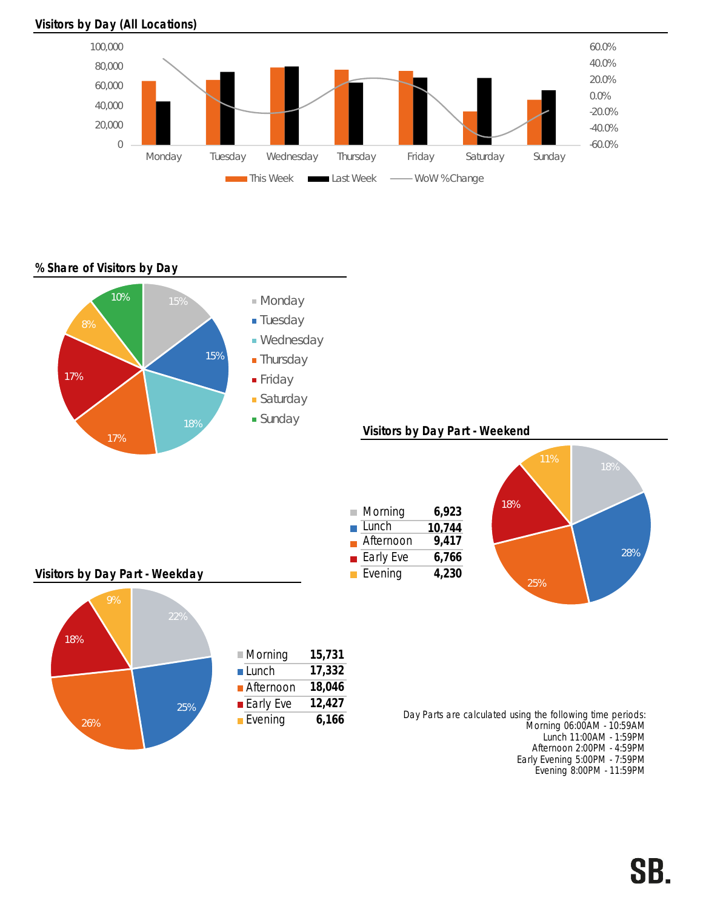#### Visitors by Day (All Locations)



### % Share of Visitors by Day



Afternoon 2:00PM - 4:59PM Early Evening 5:00PM - 7:59PM Evening 8:00PM - 11:59PM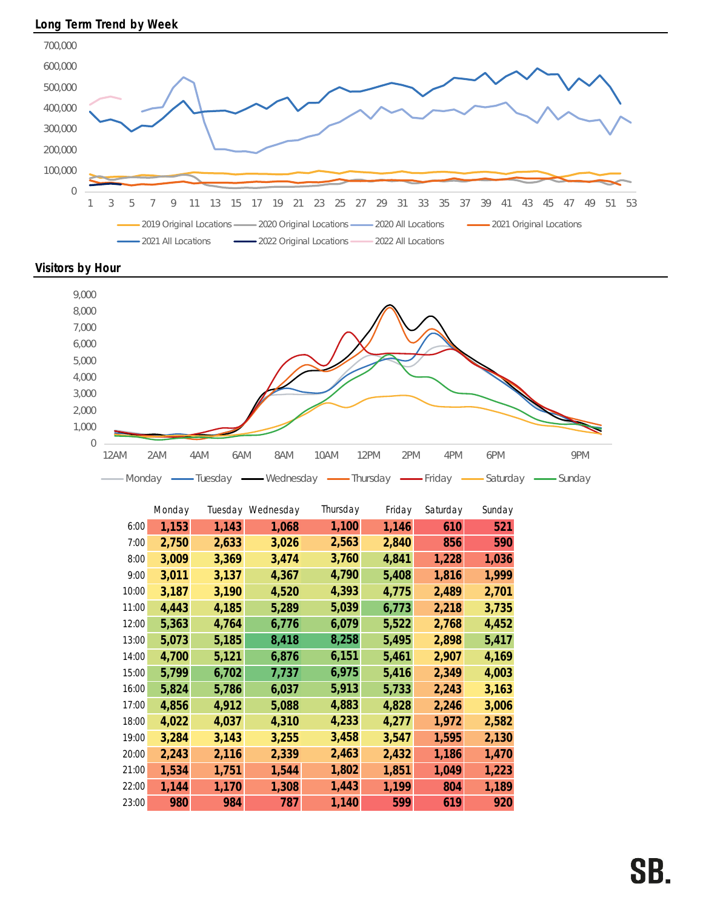





|       | Monday |       | Tuesday Wednesday | Thursday | Friday | Saturday | Sunday |
|-------|--------|-------|-------------------|----------|--------|----------|--------|
| 6:00  | 1,153  | 1,143 | 1,068             | 1,100    | 1,146  | 610      | 521    |
| 7:00  | 2,750  | 2,633 | 3,026             | 2,563    | 2,840  | 856      | 590    |
| 8:00  | 3,009  | 3,369 | 3,474             | 3,760    | 4,841  | 1,228    | 1,036  |
| 9:00  | 3,011  | 3,137 | 4,367             | 4,790    | 5,408  | 1,816    | 1,999  |
| 10:00 | 3,187  | 3,190 | 4,520             | 4,393    | 4,775  | 2,489    | 2,701  |
| 11:00 | 4,443  | 4,185 | 5,289             | 5,039    | 6,773  | 2,218    | 3,735  |
| 12:00 | 5,363  | 4,764 | 6,776             | 6,079    | 5,522  | 2,768    | 4,452  |
| 13:00 | 5,073  | 5,185 | 8,418             | 8,258    | 5,495  | 2,898    | 5,417  |
| 14:00 | 4,700  | 5,121 | 6,876             | 6,151    | 5,461  | 2,907    | 4,169  |
| 15:00 | 5,799  | 6,702 | 7,737             | 6,975    | 5,416  | 2,349    | 4,003  |
| 16:00 | 5,824  | 5,786 | 6,037             | 5,913    | 5,733  | 2,243    | 3,163  |
| 17:00 | 4,856  | 4,912 | 5,088             | 4,883    | 4,828  | 2,246    | 3,006  |
| 18:00 | 4,022  | 4,037 | 4,310             | 4,233    | 4,277  | 1,972    | 2,582  |
| 19:00 | 3,284  | 3,143 | 3,255             | 3,458    | 3,547  | 1,595    | 2,130  |
| 20:00 | 2,243  | 2,116 | 2,339             | 2,463    | 2,432  | 1,186    | 1,470  |
| 21:00 | 1,534  | 1,751 | 1,544             | 1,802    | 1,851  | 1,049    | 1,223  |
| 22:00 | 1,144  | 1,170 | 1,308             | 1,443    | 1,199  | 804      | 1,189  |
| 23:00 | 980    | 984   | 787               | 1,140    | 599    | 619      | 920    |